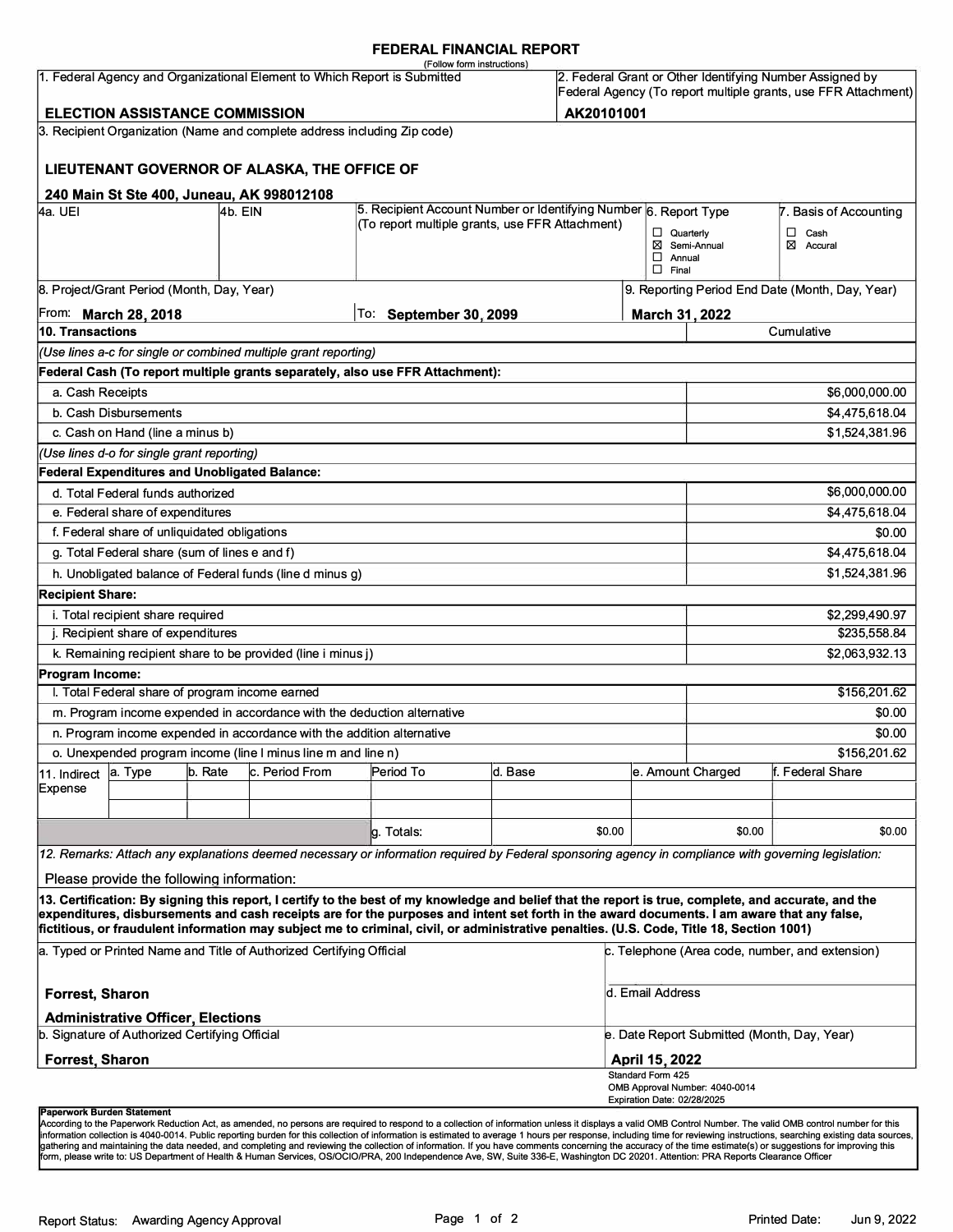#### **FEDERAL FINANCIAL REPORT**

|                                                                                                                       |                                                      |  |                                                                          | (Follow form instructions)                                                                                                                                                                                                                                                                                                                                                                                                                      |         |        |                                                                                                                            |                                                                   |                |  |  |
|-----------------------------------------------------------------------------------------------------------------------|------------------------------------------------------|--|--------------------------------------------------------------------------|-------------------------------------------------------------------------------------------------------------------------------------------------------------------------------------------------------------------------------------------------------------------------------------------------------------------------------------------------------------------------------------------------------------------------------------------------|---------|--------|----------------------------------------------------------------------------------------------------------------------------|-------------------------------------------------------------------|----------------|--|--|
| 1. Federal Agency and Organizational Element to Which Report is Submitted                                             |                                                      |  |                                                                          |                                                                                                                                                                                                                                                                                                                                                                                                                                                 |         |        | 2. Federal Grant or Other Identifying Number Assigned by<br>Federal Agency (To report multiple grants, use FFR Attachment) |                                                                   |                |  |  |
| <b>ELECTION ASSISTANCE COMMISSION</b><br>AK20101001                                                                   |                                                      |  |                                                                          |                                                                                                                                                                                                                                                                                                                                                                                                                                                 |         |        |                                                                                                                            |                                                                   |                |  |  |
|                                                                                                                       |                                                      |  | 3. Recipient Organization (Name and complete address including Zip code) |                                                                                                                                                                                                                                                                                                                                                                                                                                                 |         |        |                                                                                                                            |                                                                   |                |  |  |
|                                                                                                                       |                                                      |  | LIEUTENANT GOVERNOR OF ALASKA, THE OFFICE OF                             |                                                                                                                                                                                                                                                                                                                                                                                                                                                 |         |        |                                                                                                                            |                                                                   |                |  |  |
|                                                                                                                       |                                                      |  | 240 Main St Ste 400, Juneau, AK 998012108                                |                                                                                                                                                                                                                                                                                                                                                                                                                                                 |         |        |                                                                                                                            |                                                                   |                |  |  |
| 5. Recipient Account Number or Identifying Number 6. Report Type<br>4a. UEI<br>4b. EIN                                |                                                      |  |                                                                          |                                                                                                                                                                                                                                                                                                                                                                                                                                                 |         |        |                                                                                                                            | 7. Basis of Accounting                                            |                |  |  |
|                                                                                                                       | (To report multiple grants, use FFR Attachment)      |  |                                                                          |                                                                                                                                                                                                                                                                                                                                                                                                                                                 |         |        | Quarterly<br>$\Box$ Annual                                                                                                 | $\Box$ Cash<br>⊠<br>⊠ Semi-Annual<br>Accural                      |                |  |  |
| $\Box$ Final<br>8. Project/Grant Period (Month, Day, Year)                                                            |                                                      |  |                                                                          |                                                                                                                                                                                                                                                                                                                                                                                                                                                 |         |        |                                                                                                                            |                                                                   |                |  |  |
|                                                                                                                       | From: March 28, 2018                                 |  |                                                                          | To:<br><b>September 30, 2099</b>                                                                                                                                                                                                                                                                                                                                                                                                                |         |        |                                                                                                                            | 9. Reporting Period End Date (Month, Day, Year)<br>March 31, 2022 |                |  |  |
| 10. Transactions                                                                                                      |                                                      |  |                                                                          |                                                                                                                                                                                                                                                                                                                                                                                                                                                 |         |        |                                                                                                                            |                                                                   | Cumulative     |  |  |
|                                                                                                                       |                                                      |  | (Use lines a-c for single or combined multiple grant reporting)          |                                                                                                                                                                                                                                                                                                                                                                                                                                                 |         |        |                                                                                                                            |                                                                   |                |  |  |
|                                                                                                                       |                                                      |  |                                                                          | Federal Cash (To report multiple grants separately, also use FFR Attachment):                                                                                                                                                                                                                                                                                                                                                                   |         |        |                                                                                                                            |                                                                   |                |  |  |
| a. Cash Receipts                                                                                                      |                                                      |  |                                                                          |                                                                                                                                                                                                                                                                                                                                                                                                                                                 |         |        |                                                                                                                            |                                                                   | \$6,000,000.00 |  |  |
|                                                                                                                       | b. Cash Disbursements                                |  |                                                                          |                                                                                                                                                                                                                                                                                                                                                                                                                                                 |         |        |                                                                                                                            |                                                                   | \$4,475,618.04 |  |  |
|                                                                                                                       | c. Cash on Hand (line a minus b)                     |  |                                                                          |                                                                                                                                                                                                                                                                                                                                                                                                                                                 |         |        |                                                                                                                            |                                                                   | \$1,524,381.96 |  |  |
|                                                                                                                       | (Use lines d-o for single grant reporting)           |  |                                                                          |                                                                                                                                                                                                                                                                                                                                                                                                                                                 |         |        |                                                                                                                            |                                                                   |                |  |  |
|                                                                                                                       | <b>Federal Expenditures and Unobligated Balance:</b> |  |                                                                          |                                                                                                                                                                                                                                                                                                                                                                                                                                                 |         |        |                                                                                                                            |                                                                   |                |  |  |
|                                                                                                                       | d. Total Federal funds authorized                    |  |                                                                          |                                                                                                                                                                                                                                                                                                                                                                                                                                                 |         |        |                                                                                                                            |                                                                   | \$6,000,000.00 |  |  |
|                                                                                                                       | e. Federal share of expenditures                     |  |                                                                          |                                                                                                                                                                                                                                                                                                                                                                                                                                                 |         |        |                                                                                                                            |                                                                   | \$4,475,618.04 |  |  |
|                                                                                                                       | f. Federal share of unliquidated obligations         |  |                                                                          |                                                                                                                                                                                                                                                                                                                                                                                                                                                 |         |        |                                                                                                                            |                                                                   | \$0.00         |  |  |
|                                                                                                                       | g. Total Federal share (sum of lines e and f)        |  |                                                                          |                                                                                                                                                                                                                                                                                                                                                                                                                                                 |         |        |                                                                                                                            |                                                                   | \$4,475,618.04 |  |  |
|                                                                                                                       |                                                      |  | h. Unobligated balance of Federal funds (line d minus g)                 |                                                                                                                                                                                                                                                                                                                                                                                                                                                 |         |        |                                                                                                                            |                                                                   | \$1,524,381.96 |  |  |
|                                                                                                                       |                                                      |  |                                                                          |                                                                                                                                                                                                                                                                                                                                                                                                                                                 |         |        |                                                                                                                            |                                                                   |                |  |  |
| <b>Recipient Share:</b>                                                                                               |                                                      |  |                                                                          |                                                                                                                                                                                                                                                                                                                                                                                                                                                 |         |        |                                                                                                                            |                                                                   |                |  |  |
| i. Total recipient share required<br>j. Recipient share of expenditures                                               |                                                      |  |                                                                          |                                                                                                                                                                                                                                                                                                                                                                                                                                                 |         |        |                                                                                                                            | \$2,299,490.97<br>\$235,558.84                                    |                |  |  |
|                                                                                                                       |                                                      |  | k. Remaining recipient share to be provided (line i minus j)             |                                                                                                                                                                                                                                                                                                                                                                                                                                                 |         |        |                                                                                                                            |                                                                   | \$2,063,932.13 |  |  |
| Program Income:                                                                                                       |                                                      |  |                                                                          |                                                                                                                                                                                                                                                                                                                                                                                                                                                 |         |        |                                                                                                                            |                                                                   |                |  |  |
|                                                                                                                       | I. Total Federal share of program income earned      |  |                                                                          |                                                                                                                                                                                                                                                                                                                                                                                                                                                 |         |        |                                                                                                                            |                                                                   | \$156,201.62   |  |  |
|                                                                                                                       |                                                      |  | m. Program income expended in accordance with the deduction alternative  |                                                                                                                                                                                                                                                                                                                                                                                                                                                 |         |        |                                                                                                                            |                                                                   | \$0.00         |  |  |
|                                                                                                                       |                                                      |  | n. Program income expended in accordance with the addition alternative   |                                                                                                                                                                                                                                                                                                                                                                                                                                                 |         |        |                                                                                                                            |                                                                   | \$0.00         |  |  |
|                                                                                                                       |                                                      |  |                                                                          |                                                                                                                                                                                                                                                                                                                                                                                                                                                 |         |        |                                                                                                                            |                                                                   | \$156,201.62   |  |  |
| o. Unexpended program income (line I minus line m and line n)<br>b. Rate<br>c. Period From<br>a. Type<br>11. Indirect |                                                      |  |                                                                          | Period To                                                                                                                                                                                                                                                                                                                                                                                                                                       | d. Base |        |                                                                                                                            | e. Amount Charged<br>f. Federal Share                             |                |  |  |
| Expense                                                                                                               |                                                      |  |                                                                          |                                                                                                                                                                                                                                                                                                                                                                                                                                                 |         |        |                                                                                                                            |                                                                   |                |  |  |
|                                                                                                                       |                                                      |  |                                                                          |                                                                                                                                                                                                                                                                                                                                                                                                                                                 |         |        |                                                                                                                            |                                                                   |                |  |  |
|                                                                                                                       |                                                      |  |                                                                          | g. Totals:                                                                                                                                                                                                                                                                                                                                                                                                                                      |         | \$0.00 |                                                                                                                            | \$0.00                                                            | \$0.00         |  |  |
|                                                                                                                       |                                                      |  |                                                                          | 12. Remarks: Attach any explanations deemed necessary or information required by Federal sponsoring agency in compliance with governing legislation:                                                                                                                                                                                                                                                                                            |         |        |                                                                                                                            |                                                                   |                |  |  |
|                                                                                                                       |                                                      |  |                                                                          |                                                                                                                                                                                                                                                                                                                                                                                                                                                 |         |        |                                                                                                                            |                                                                   |                |  |  |
|                                                                                                                       | Please provide the following information:            |  |                                                                          |                                                                                                                                                                                                                                                                                                                                                                                                                                                 |         |        |                                                                                                                            |                                                                   |                |  |  |
|                                                                                                                       |                                                      |  |                                                                          | 13. Certification: By signing this report, I certify to the best of my knowledge and belief that the report is true, complete, and accurate, and the<br>expenditures, disbursements and cash receipts are for the purposes and intent set forth in the award documents. I am aware that any false,<br>fictitious, or fraudulent information may subject me to criminal, civil, or administrative penalties. (U.S. Code, Title 18, Section 1001) |         |        |                                                                                                                            |                                                                   |                |  |  |
| a. Typed or Printed Name and Title of Authorized Certifying Official                                                  |                                                      |  |                                                                          |                                                                                                                                                                                                                                                                                                                                                                                                                                                 |         |        | c. Telephone (Area code, number, and extension)                                                                            |                                                                   |                |  |  |
| <b>Forrest, Sharon</b>                                                                                                |                                                      |  |                                                                          |                                                                                                                                                                                                                                                                                                                                                                                                                                                 |         |        | d. Email Address                                                                                                           |                                                                   |                |  |  |
| <b>Administrative Officer, Elections</b><br>b. Signature of Authorized Certifying Official                            |                                                      |  |                                                                          |                                                                                                                                                                                                                                                                                                                                                                                                                                                 |         |        | e. Date Report Submitted (Month, Day, Year)                                                                                |                                                                   |                |  |  |
| <b>Forrest, Sharon</b>                                                                                                |                                                      |  |                                                                          |                                                                                                                                                                                                                                                                                                                                                                                                                                                 |         |        | April 15, 2022                                                                                                             |                                                                   |                |  |  |
|                                                                                                                       |                                                      |  |                                                                          |                                                                                                                                                                                                                                                                                                                                                                                                                                                 |         |        | Standard Form 425<br>OMB Approval Number: 4040-0014                                                                        |                                                                   |                |  |  |
|                                                                                                                       |                                                      |  |                                                                          |                                                                                                                                                                                                                                                                                                                                                                                                                                                 |         |        | Expiration Date: 02/28/2025                                                                                                |                                                                   |                |  |  |
|                                                                                                                       |                                                      |  |                                                                          |                                                                                                                                                                                                                                                                                                                                                                                                                                                 |         |        |                                                                                                                            |                                                                   |                |  |  |

#### **Paperwork Burden Statement**

According to the Paperwork Reduction Act, as amended, no persons are required to respond to a collection of information unless it displays a valid OMB Control Number. The valid OMB control number for this<br>information colle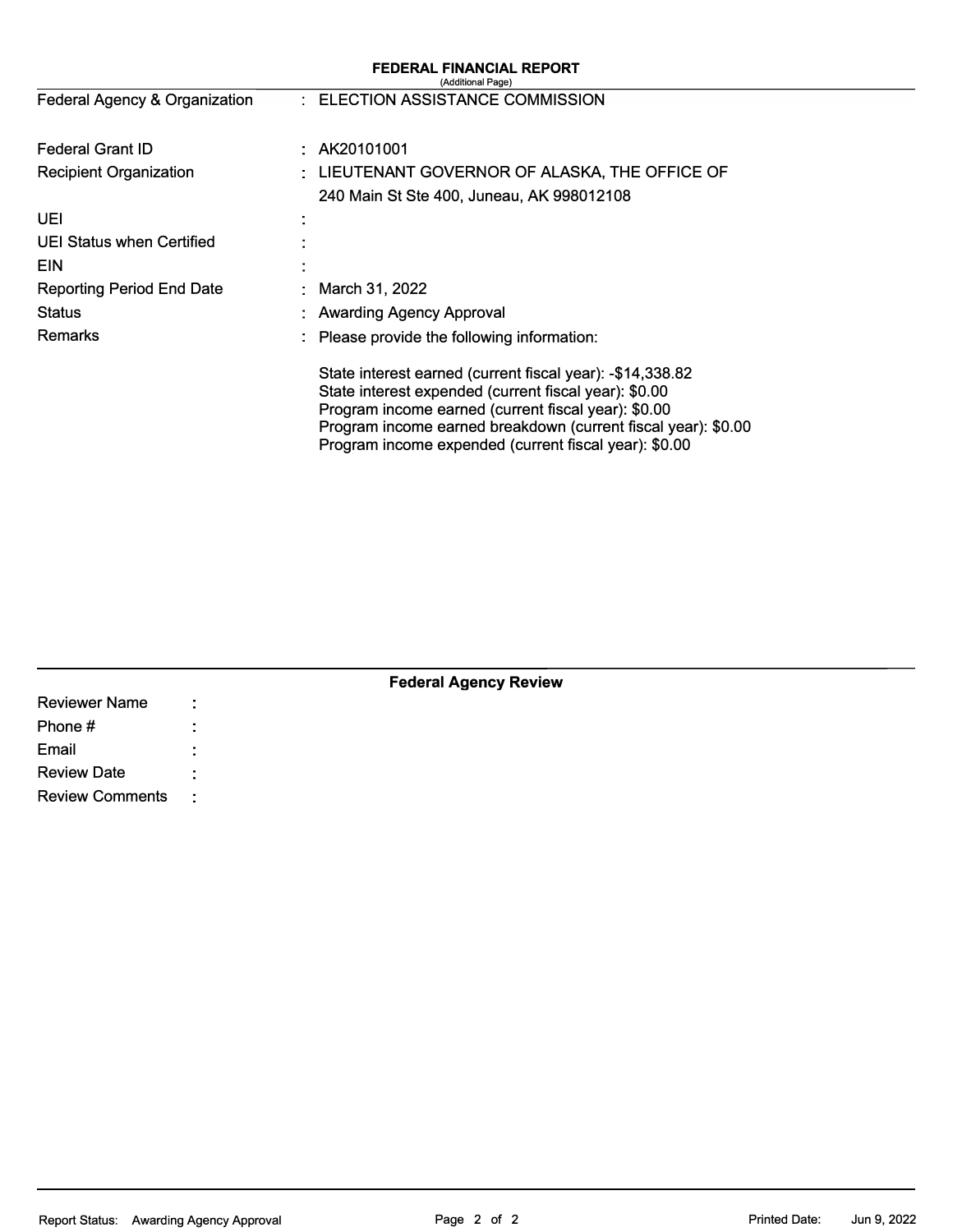|                                  | <b>FEDERAL FINANCIAL REPORT</b><br>(Additional Page)                                                                                                                                                                                                                                                |  |  |  |  |
|----------------------------------|-----------------------------------------------------------------------------------------------------------------------------------------------------------------------------------------------------------------------------------------------------------------------------------------------------|--|--|--|--|
| Federal Agency & Organization    | : ELECTION ASSISTANCE COMMISSION                                                                                                                                                                                                                                                                    |  |  |  |  |
| <b>Federal Grant ID</b>          | AK20101001                                                                                                                                                                                                                                                                                          |  |  |  |  |
| <b>Recipient Organization</b>    | LIEUTENANT GOVERNOR OF ALASKA, THE OFFICE OF                                                                                                                                                                                                                                                        |  |  |  |  |
|                                  | 240 Main St Ste 400, Juneau, AK 998012108                                                                                                                                                                                                                                                           |  |  |  |  |
| UEI                              |                                                                                                                                                                                                                                                                                                     |  |  |  |  |
| UEI Status when Certified        |                                                                                                                                                                                                                                                                                                     |  |  |  |  |
| <b>EIN</b>                       |                                                                                                                                                                                                                                                                                                     |  |  |  |  |
| <b>Reporting Period End Date</b> | March 31, 2022                                                                                                                                                                                                                                                                                      |  |  |  |  |
| <b>Status</b>                    | <b>Awarding Agency Approval</b>                                                                                                                                                                                                                                                                     |  |  |  |  |
| <b>Remarks</b>                   | Please provide the following information:                                                                                                                                                                                                                                                           |  |  |  |  |
|                                  | State interest earned (current fiscal year): -\$14,338.82<br>State interest expended (current fiscal year): \$0.00<br>Program income earned (current fiscal year): \$0.00<br>Program income earned breakdown (current fiscal year): \$0.00<br>Program income expended (current fiscal year): \$0.00 |  |  |  |  |

| <b>Federal Agency Review</b> |           |  |  |  |  |  |  |  |
|------------------------------|-----------|--|--|--|--|--|--|--|
| <b>Reviewer Name</b>         | ÷         |  |  |  |  |  |  |  |
| Phone #                      |           |  |  |  |  |  |  |  |
| Email                        |           |  |  |  |  |  |  |  |
| <b>Review Date</b>           |           |  |  |  |  |  |  |  |
| <b>Review Comments</b>       | $\sim$ 1. |  |  |  |  |  |  |  |

### Report Status: Awarding Agency Approval **Page 2 of 2** Printed Date: Jun 9, 2022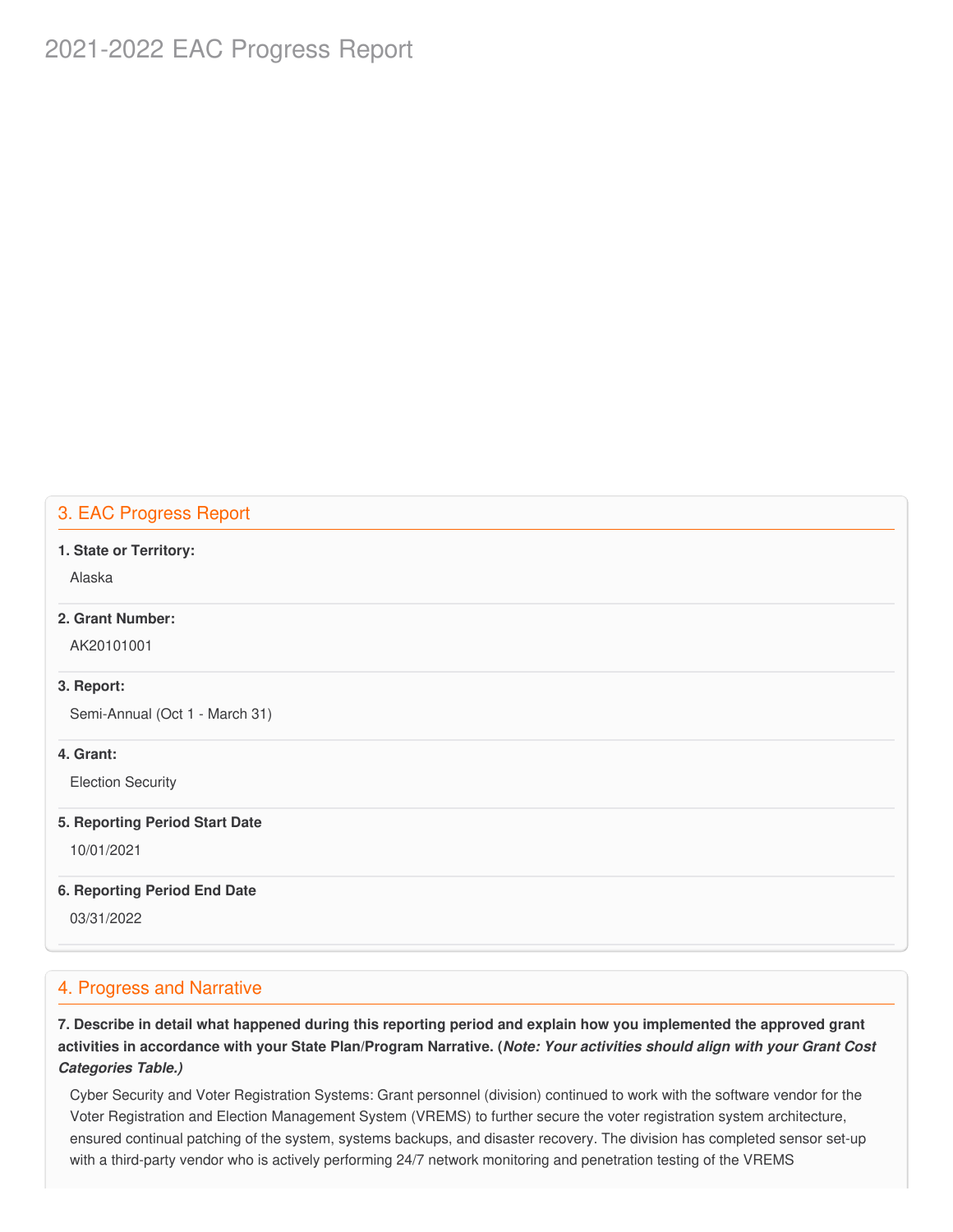# 2021-2022 EAC Progress Report

### 3. EAC Progress Report

#### **1. State or Territory:**

Alaska

### **2. Grant Number:**

AK20101001

#### **3. Report:**

Semi-Annual (Oct 1 - March 31)

#### **4. Grant:**

Election Security

#### **5. Reporting Period Start Date**

10/01/2021

#### **6. Reporting Period End Date**

03/31/2022

### 4. Progress and Narrative

7. Describe in detail what happened during this reporting period and explain how you implemented the approved grant activities in accordance with your State Plan/Program Narrative. (*Note: Your activities should align with your Grant Cost Categories Table.)*

 Cyber Security and Voter Registration Systems: Grant personnel (division) continued to work with the software vendor for the Voter Registration and Election Management System (VREMS) to further secure the voter registration system architecture, ensured continual patching of the system, systems backups, and disaster recovery. The division has completed sensor set-up with a third-party vendor who is actively performing 24/7 network monitoring and penetration testing of the VREMS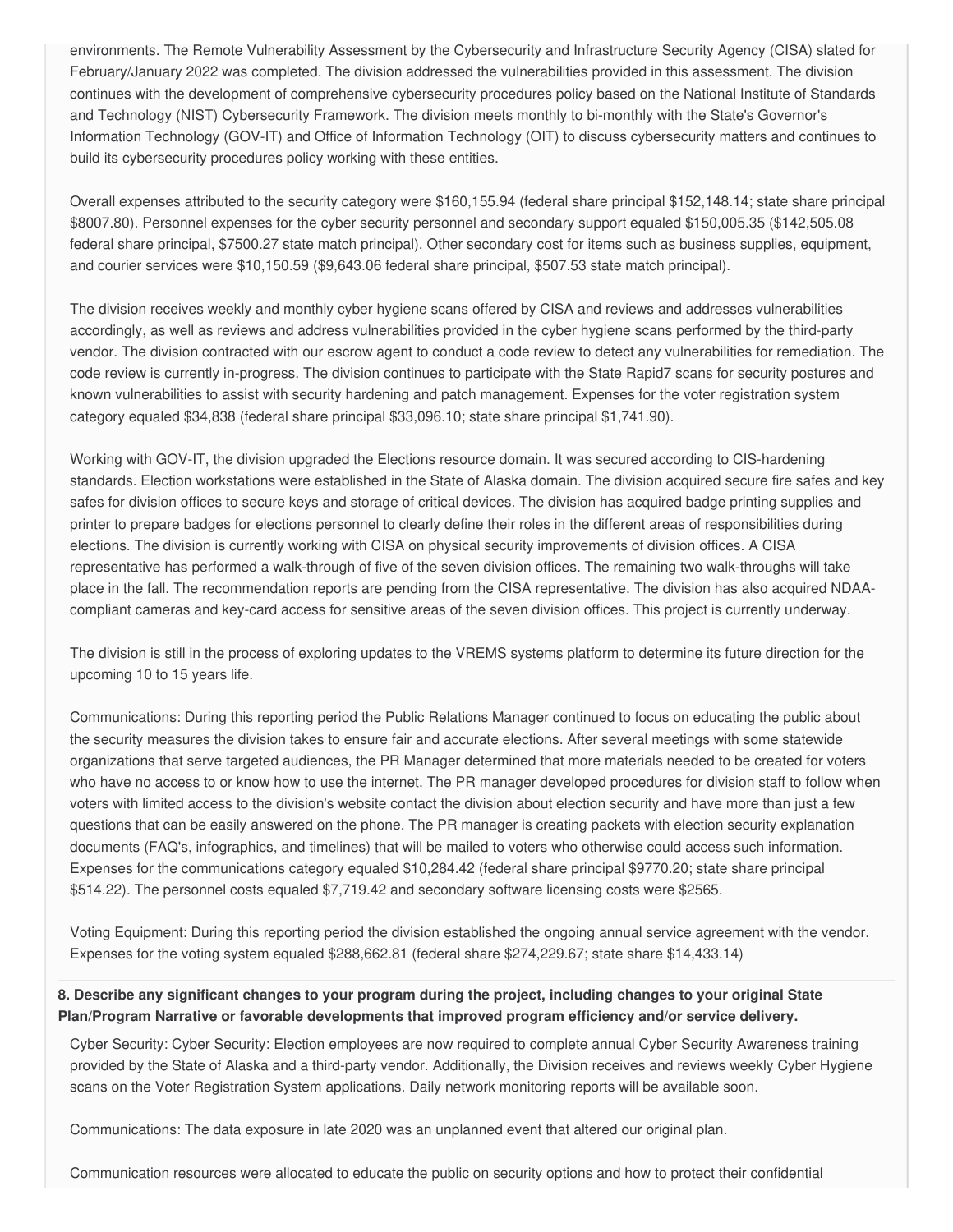environments. The Remote Vulnerability Assessment by the Cybersecurity and Infrastructure Security Agency (CISA) slated for February/January 2022 was completed. The division addressed the vulnerabilities provided in this assessment. The division continues with the development of comprehensive cybersecurity procedures policy based on the National Institute of Standards and Technology (NIST) Cybersecurity Framework. The division meets monthly to bi-monthly with the State's Governor's Information Technology (GOV-IT) and Office of Information Technology (OIT) to discuss cybersecurity matters and continues to build its cybersecurity procedures policy working with these entities.

 Overall expenses attributed to the security category were [\\$160,155.94](https://160,155.94) (federal share principal [\\$152,148.14](https://152,148.14); state share principal \$8007.80). Personnel expenses for the cyber security personnel and secondary support equaled \$[150,005.35](https://150,005.35) ([\\$142,505.08](https://142,505.08) federal share principal, \$7500.27 state match principal). Other secondary cost for items such as business supplies, equipment, and courier services were \$[10,150.59](https://10,150.59) ([\\$9,643.06](https://9,643.06) federal share principal, \$507.53 state match principal).

 The division receives weekly and monthly cyber hygiene scans offered by CISA and reviews and addresses vulnerabilities accordingly, as well as reviews and address vulnerabilities provided in the cyber hygiene scans performed by the third-party vendor. The division contracted with our escrow agent to conduct a code review to detect any vulnerabilities for remediation. The code review is currently in-progress. The division continues to participate with the State Rapid7 scans for security postures and known vulnerabilities to assist with security hardening and patch management. Expenses for the voter registration system category equaled \$34,838 (federal share principal [\\$33,096.10](https://33,096.10); state share principal \$[1,741.90\)](https://1,741.90).

 Working with GOV-IT, the division upgraded the Elections resource domain. It was secured according to CIS-hardening standards. Election workstations were established in the State of Alaska domain. The division acquired secure fire safes and key safes for division offices to secure keys and storage of critical devices. The division has acquired badge printing supplies and printer to prepare badges for elections personnel to clearly define their roles in the different areas of responsibilities during elections. The division is currently working with CISA on physical security improvements of division offices. A CISA representative has performed a walk-through of five of the seven division offices. The remaining two walk-throughs will take place in the fall. The recommendation reports are pending from the CISA representative. The division has also acquired NDAA-compliant cameras and key-card access for sensitive areas of the seven division offices. This project is currently underway.

 The division is still in the process of exploring updates to the VREMS systems platform to determine its future direction for the upcoming 10 to 15 years life.

 Communications: During this reporting period the Public Relations Manager continued to focus on educating the public about the security measures the division takes to ensure fair and accurate elections. After several meetings with some statewide organizations that serve targeted audiences, the PR Manager determined that more materials needed to be created for voters who have no access to or know how to use the internet. The PR manager developed procedures for division staff to follow when voters with limited access to the division's website contact the division about election security and have more than just a few questions that can be easily answered on the phone. The PR manager is creating packets with election security explanation documents (FAQ's, infographics, and timelines) that will be mailed to voters who otherwise could access such information. Expenses for the communications category equaled [\\$10,284.42](https://10,284.42) (federal share principal \$9770.20; state share principal \$514.22). The personnel costs equaled \$[7,719.42](https://7,719.42) and secondary software licensing costs were \$2565.

 Voting Equipment: During this reporting period the division established the ongoing annual service agreement with the vendor. Expenses for the voting system equaled [\\$288,662.81](https://288,662.81) (federal share [\\$274,229.67](https://274,229.67); state share \$[14,433.14\)](https://14,433.14)

### 8. Describe any significant changes to your program during the project, including changes to your original State  **Plan/Program Narrative or favorable developments that improved program efficiency and/or service delivery.**

 Cyber Security: Cyber Security: Election employees are now required to complete annual Cyber Security Awareness training provided by the State of Alaska and a third-party vendor. Additionally, the Division receives and reviews weekly Cyber Hygiene scans on the Voter Registration System applications. Daily network monitoring reports will be available soon.

Communications: The data exposure in late 2020 was an unplanned event that altered our original plan.

Communication resources were allocated to educate the public on security options and how to protect their confidential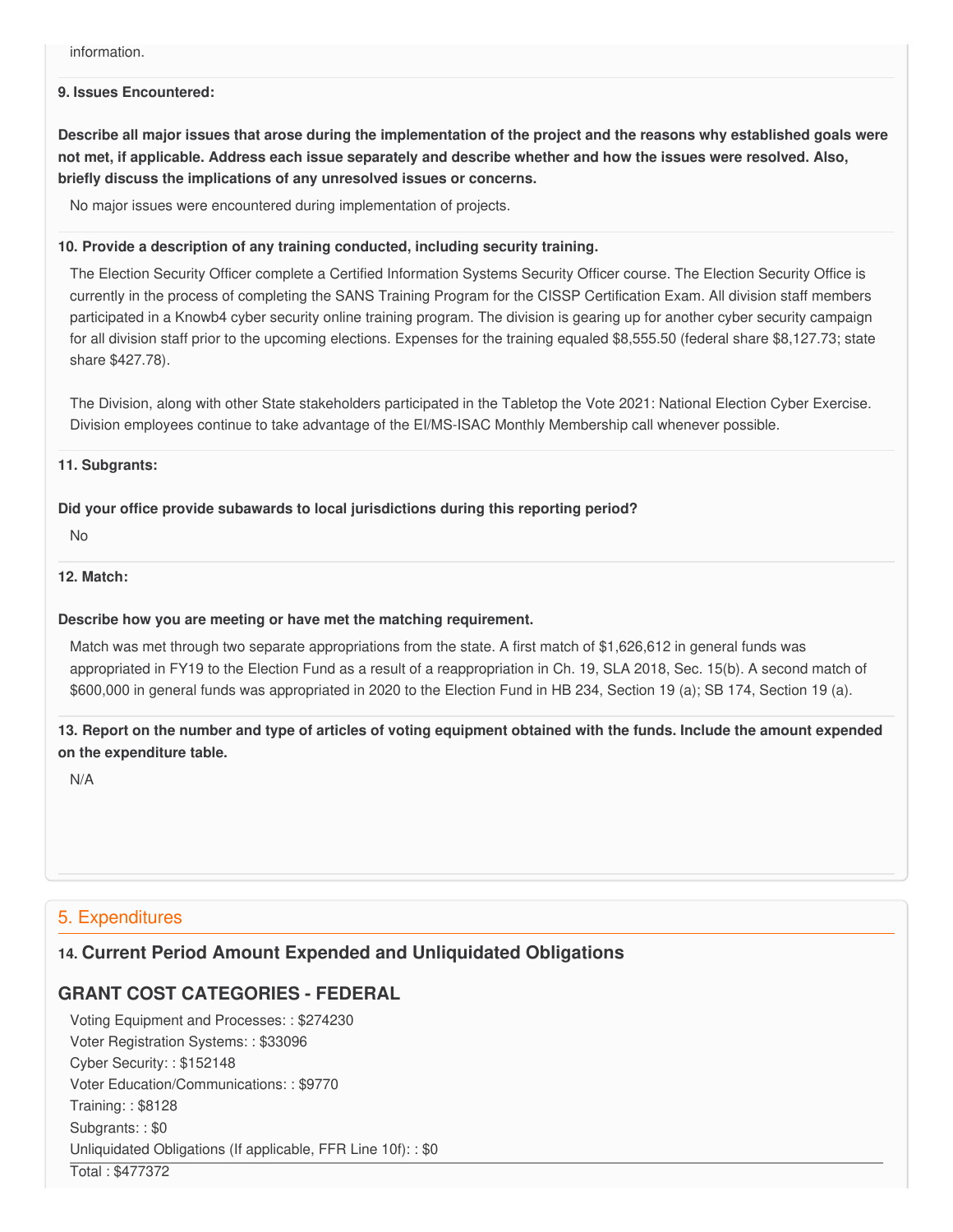#### **9. Issues Encountered:**

Describe all major issues that arose during the implementation of the project and the reasons why established goals were not met, if applicable. Address each issue separately and describe whether and how the issues were resolved. Also,  **briefly discuss the implications of any unresolved issues or concerns.**

No major issues were encountered during implementation of projects.

#### **10. Provide a description of any training conducted, including security training.**

 The Election Security Officer complete a Certified Information Systems Security Officer course. The Election Security Office is currently in the process of completing the SANS Training Program for the CISSP Certification Exam. All division staff members participated in a Knowb4 cyber security online training program. The division is gearing up for another cyber security campaign for all division staff prior to the upcoming elections. Expenses for the training equaled \$[8,555.50](https://8,555.50) (federal share \$[8,127.73;](https://8,127.73) state share \$427.78).

 The Division, along with other State stakeholders participated in the Tabletop the Vote 2021: National Election Cyber Exercise. Division employees continue to take advantage of the EI/MS-ISAC Monthly Membership call whenever possible.

#### **11. Subgrants:**

#### **Did your office provide subawards to local jurisdictions during this reporting period?**

No

#### **12. Match:**

#### **Describe how you are meeting or have met the matching requirement.**

 Match was met through two separate appropriations from the state. A first match of \$1,626,612 in general funds was appropriated in FY19 to the Election Fund as a result of a reappropriation in Ch. 19, SLA 2018, Sec. 15(b). A second match of \$600,000 in general funds was appropriated in 2020 to the Election Fund in HB 234, Section 19 (a); SB 174, Section 19 (a).

13. Report on the number and type of articles of voting equipment obtained with the funds. Include the amount expended  **on the expenditure table.**

N/A

### 5. Expenditures

### **14. Current Period Amount Expended and Unliquidated Obligations**

### **GRANT COST CATEGORIES - FEDERAL**

 Voting Equipment and Processes: : \$274230 Voter Registration Systems: : \$33096 Cyber Security: : \$152148 Voter Education/Communications: : \$9770 Training: : \$8128 Subgrants: : \$0 Unliquidated Obligations (If applicable, FFR Line 10f): : \$0 Total : \$477372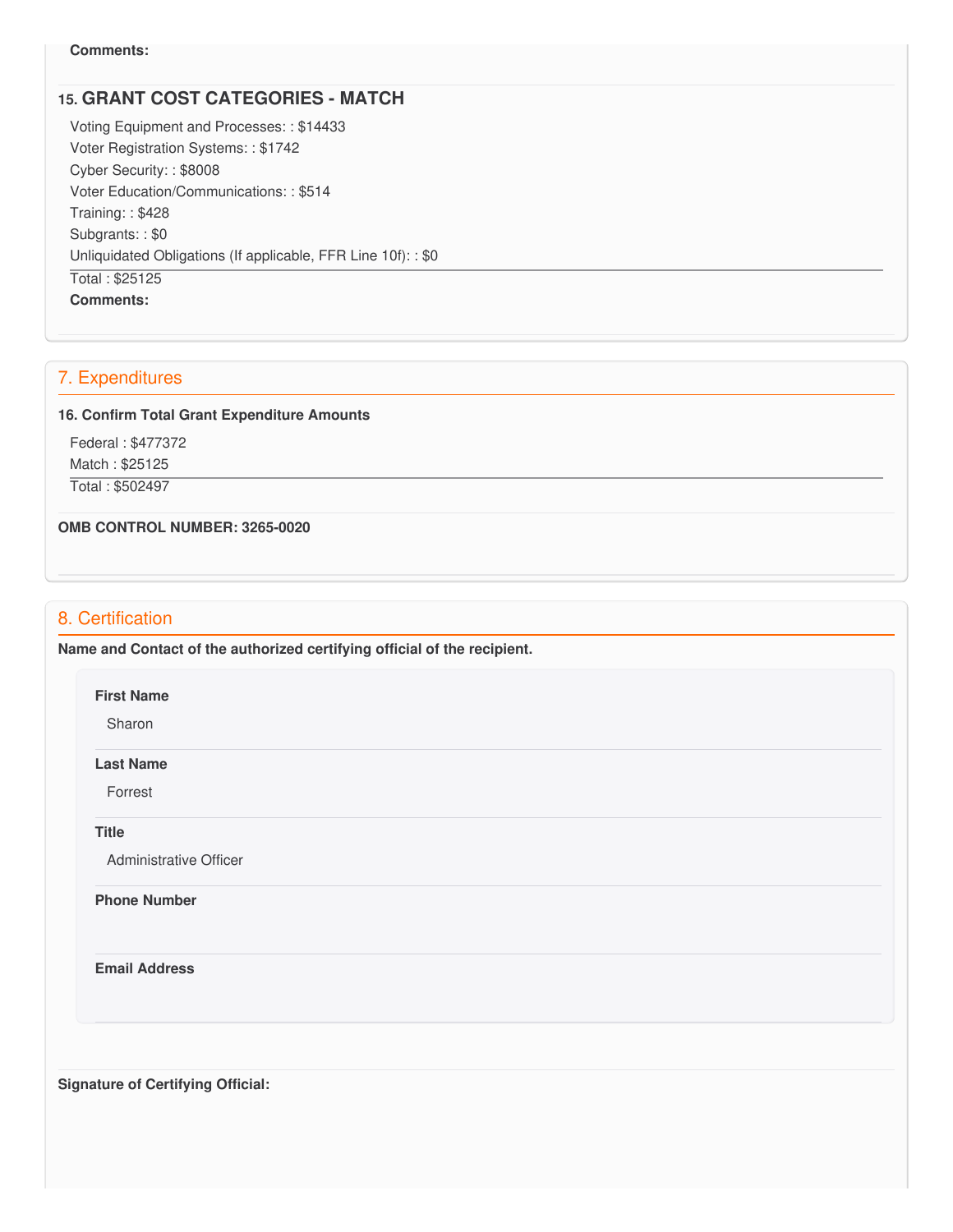#### **Comments:**

### **15. GRANT COST CATEGORIES - MATCH**

 Voting Equipment and Processes: : \$14433 Voter Registration Systems: : \$1742 Cyber Security: : \$8008 Voter Education/Communications: : \$514 Training: : \$428 Subgrants: : \$0 Unliquidated Obligations (If applicable, FFR Line 10f): : \$0 Total : \$25125 **Comments:**

## 7. Expenditures

#### **16. Confirm Total Grant Expenditure Amounts**

Federal : \$477372

Match : \$25125

Total : \$502497

 **OMB CONTROL NUMBER: 3265-0020**

### 8. Certification

 **Name and Contact of the authorized certifying official of the recipient.**

#### **First Name**

Sharon

#### **Last Name**

Forrest

#### **Title**

Administrative Officer

#### **Phone Number**

**Email Address**

 **Signature of Certifying Official:**